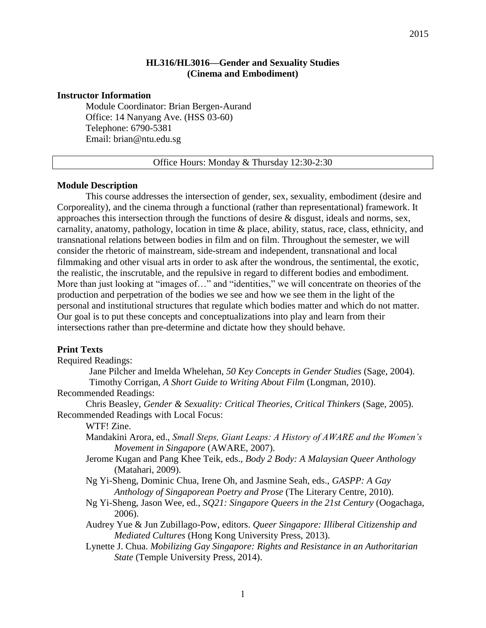## **HL316/HL3016—Gender and Sexuality Studies (Cinema and Embodiment)**

#### **Instructor Information**

Module Coordinator: Brian Bergen-Aurand Office: 14 Nanyang Ave. (HSS 03-60) Telephone: 6790-5381 Email: brian@ntu.edu.sg

Office Hours: Monday & Thursday 12:30-2:30

#### **Module Description**

This course addresses the intersection of gender, sex, sexuality, embodiment (desire and Corporeality), and the cinema through a functional (rather than representational) framework. It approaches this intersection through the functions of desire & disgust, ideals and norms, sex, carnality, anatomy, pathology, location in time & place, ability, status, race, class, ethnicity, and transnational relations between bodies in film and on film. Throughout the semester, we will consider the rhetoric of mainstream, side-stream and independent, transnational and local filmmaking and other visual arts in order to ask after the wondrous, the sentimental, the exotic, the realistic, the inscrutable, and the repulsive in regard to different bodies and embodiment. More than just looking at "images of..." and "identities," we will concentrate on theories of the production and perpetration of the bodies we see and how we see them in the light of the personal and institutional structures that regulate which bodies matter and which do not matter. Our goal is to put these concepts and conceptualizations into play and learn from their intersections rather than pre-determine and dictate how they should behave.

#### **Print Texts**

Required Readings:

Jane Pilcher and Imelda Whelehan, *50 Key Concepts in Gender Studies* (Sage, 2004). Timothy Corrigan, *A Short Guide to Writing About Film* (Longman, 2010).

Recommended Readings:

Chris Beasley, *Gender & Sexuality: Critical Theories, Critical Thinkers* (Sage, 2005). Recommended Readings with Local Focus:

WTF! Zine.

- Mandakini Arora, ed., *Small Steps, Giant Leaps: A History of AWARE and the Women's Movement in Singapore* (AWARE, 2007).
- Jerome Kugan and Pang Khee Teik, eds., *Body 2 Body: A Malaysian Queer Anthology* (Matahari, 2009).
- Ng Yi-Sheng, Dominic Chua, Irene Oh, and Jasmine Seah, eds., *GASPP: A Gay Anthology of Singaporean Poetry and Prose* (The Literary Centre, 2010).
- Ng Yi-Sheng, Jason Wee, ed., *SQ21: Singapore Queers in the 21st Century* (Oogachaga, 2006).
- Audrey Yue & Jun Zubillago-Pow, editors. *Queer Singapore: Illiberal Citizenship and Mediated Cultures* (Hong Kong University Press, 2013).
- Lynette J. Chua. *Mobilizing Gay Singapore: Rights and Resistance in an Authoritarian State* (Temple University Press, 2014).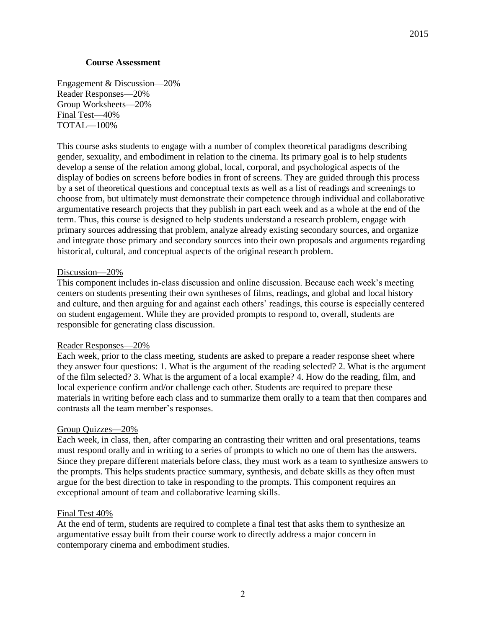### **Course Assessment**

Engagement & Discussion—20% Reader Responses—20% Group Worksheets—20% Final Test—40% TOTAL—100%

This course asks students to engage with a number of complex theoretical paradigms describing gender, sexuality, and embodiment in relation to the cinema. Its primary goal is to help students develop a sense of the relation among global, local, corporal, and psychological aspects of the display of bodies on screens before bodies in front of screens. They are guided through this process by a set of theoretical questions and conceptual texts as well as a list of readings and screenings to choose from, but ultimately must demonstrate their competence through individual and collaborative argumentative research projects that they publish in part each week and as a whole at the end of the term. Thus, this course is designed to help students understand a research problem, engage with primary sources addressing that problem, analyze already existing secondary sources, and organize and integrate those primary and secondary sources into their own proposals and arguments regarding historical, cultural, and conceptual aspects of the original research problem.

## Discussion—20%

This component includes in-class discussion and online discussion. Because each week"s meeting centers on students presenting their own syntheses of films, readings, and global and local history and culture, and then arguing for and against each others" readings, this course is especially centered on student engagement. While they are provided prompts to respond to, overall, students are responsible for generating class discussion.

#### Reader Responses—20%

Each week, prior to the class meeting, students are asked to prepare a reader response sheet where they answer four questions: 1. What is the argument of the reading selected? 2. What is the argument of the film selected? 3. What is the argument of a local example? 4. How do the reading, film, and local experience confirm and/or challenge each other. Students are required to prepare these materials in writing before each class and to summarize them orally to a team that then compares and contrasts all the team member"s responses.

# Group Quizzes—20%

Each week, in class, then, after comparing an contrasting their written and oral presentations, teams must respond orally and in writing to a series of prompts to which no one of them has the answers. Since they prepare different materials before class, they must work as a team to synthesize answers to the prompts. This helps students practice summary, synthesis, and debate skills as they often must argue for the best direction to take in responding to the prompts. This component requires an exceptional amount of team and collaborative learning skills.

#### Final Test 40%

At the end of term, students are required to complete a final test that asks them to synthesize an argumentative essay built from their course work to directly address a major concern in contemporary cinema and embodiment studies.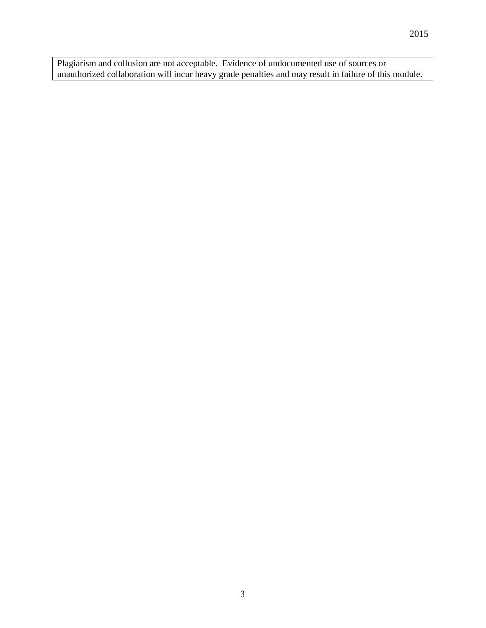Plagiarism and collusion are not acceptable. Evidence of undocumented use of sources or unauthorized collaboration will incur heavy grade penalties and may result in failure of this module.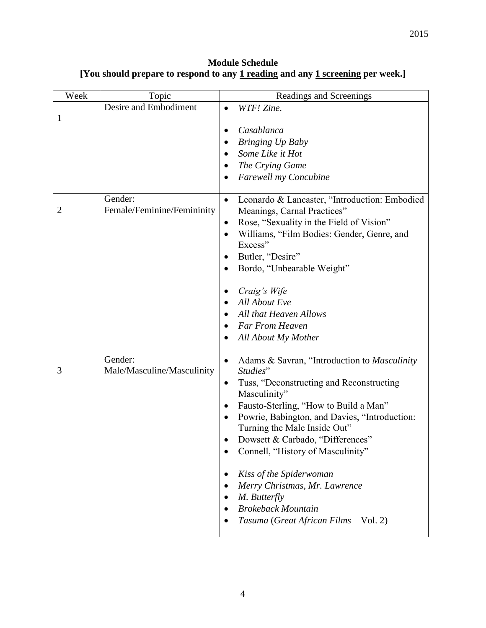**Module Schedule [You should prepare to respond to any 1 reading and any 1 screening per week.]**

| Week           | Topic                                 | Readings and Screenings                                                                   |
|----------------|---------------------------------------|-------------------------------------------------------------------------------------------|
| 1              | Desire and Embodiment                 | WTF! Zine.<br>$\bullet$                                                                   |
|                |                                       | Casablanca<br>$\bullet$                                                                   |
|                |                                       | <b>Bringing Up Baby</b>                                                                   |
|                |                                       | Some Like it Hot                                                                          |
|                |                                       | The Crying Game<br>$\bullet$                                                              |
|                |                                       | <b>Farewell my Concubine</b><br>$\bullet$                                                 |
| $\overline{2}$ | Gender:<br>Female/Feminine/Femininity | Leonardo & Lancaster, "Introduction: Embodied<br>$\bullet$<br>Meanings, Carnal Practices" |
|                |                                       | Rose, "Sexuality in the Field of Vision"<br>$\bullet$                                     |
|                |                                       | Williams, "Film Bodies: Gender, Genre, and<br>$\bullet$<br>Excess"                        |
|                |                                       | Butler, "Desire"<br>$\bullet$                                                             |
|                |                                       | Bordo, "Unbearable Weight"<br>$\bullet$                                                   |
|                |                                       | Craig's Wife<br>$\bullet$                                                                 |
|                |                                       | All About Eve                                                                             |
|                |                                       | All that Heaven Allows                                                                    |
|                |                                       | <b>Far From Heaven</b><br>$\bullet$                                                       |
|                |                                       | All About My Mother<br>$\bullet$                                                          |
| 3              | Gender:<br>Male/Masculine/Masculinity | Adams & Savran, "Introduction to Masculinity<br>$\bullet$<br>Studies"                     |
|                |                                       | Tuss, "Deconstructing and Reconstructing<br>$\bullet$<br>Masculinity"                     |
|                |                                       | Fausto-Sterling, "How to Build a Man"<br>$\bullet$                                        |
|                |                                       | Powrie, Babington, and Davies, "Introduction:<br>$\bullet$                                |
|                |                                       | Turning the Male Inside Out"                                                              |
|                |                                       | Dowsett & Carbado, "Differences"                                                          |
|                |                                       | Connell, "History of Masculinity"<br>$\bullet$                                            |
|                |                                       | Kiss of the Spiderwoman<br>٠                                                              |
|                |                                       | Merry Christmas, Mr. Lawrence                                                             |
|                |                                       | M. Butterfly                                                                              |
|                |                                       | <b>Brokeback Mountain</b>                                                                 |
|                |                                       | Tasuma (Great African Films-Vol. 2)                                                       |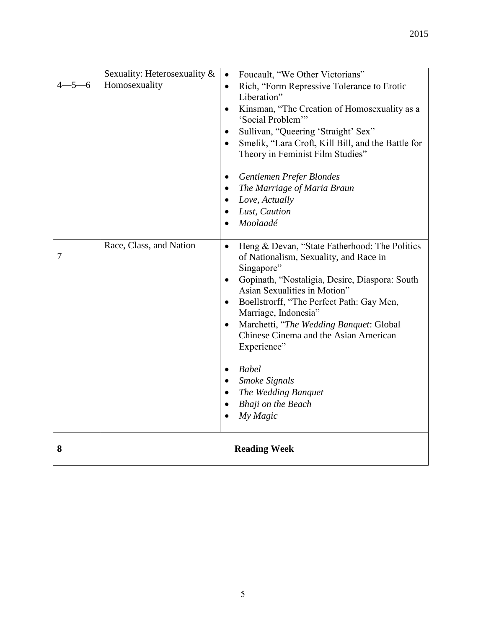| $4 - 5 - 6$ | Sexuality: Heterosexuality &<br>Homosexuality | Foucault, "We Other Victorians"<br>$\bullet$<br>Rich, "Form Repressive Tolerance to Erotic<br>$\bullet$<br>Liberation"<br>Kinsman, "The Creation of Homosexuality as a<br>$\bullet$<br>'Social Problem'"<br>Sullivan, "Queering 'Straight' Sex"<br>$\bullet$<br>Smelik, "Lara Croft, Kill Bill, and the Battle for<br>$\bullet$<br>Theory in Feminist Film Studies"<br>Gentlemen Prefer Blondes<br>٠                                                                                                                              |
|-------------|-----------------------------------------------|-----------------------------------------------------------------------------------------------------------------------------------------------------------------------------------------------------------------------------------------------------------------------------------------------------------------------------------------------------------------------------------------------------------------------------------------------------------------------------------------------------------------------------------|
|             |                                               | The Marriage of Maria Braun<br>Love, Actually<br>Lust, Caution<br>Moolaadé                                                                                                                                                                                                                                                                                                                                                                                                                                                        |
| 7           | Race, Class, and Nation                       | Heng & Devan, "State Fatherhood: The Politics<br>$\bullet$<br>of Nationalism, Sexuality, and Race in<br>Singapore"<br>Gopinath, "Nostaligia, Desire, Diaspora: South<br>$\bullet$<br>Asian Sexualities in Motion"<br>Boellstrorff, "The Perfect Path: Gay Men,<br>$\bullet$<br>Marriage, Indonesia"<br>Marchetti, "The Wedding Banquet: Global<br>$\bullet$<br>Chinese Cinema and the Asian American<br>Experience"<br><b>Babel</b><br>$\bullet$<br><b>Smoke Signals</b><br>The Wedding Banquet<br>Bhaji on the Beach<br>My Magic |
| 8           | <b>Reading Week</b>                           |                                                                                                                                                                                                                                                                                                                                                                                                                                                                                                                                   |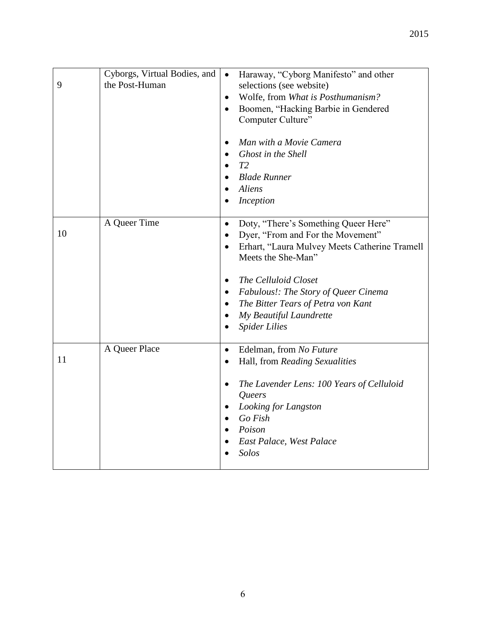| 9  | Cyborgs, Virtual Bodies, and<br>the Post-Human | Haraway, "Cyborg Manifesto" and other<br>$\bullet$<br>selections (see website)<br>Wolfe, from What is Posthumanism?<br>$\bullet$<br>Boomen, "Hacking Barbie in Gendered<br>$\bullet$<br>Computer Culture"<br>Man with a Movie Camera<br>$\bullet$<br>Ghost in the Shell<br>T2<br>$\bullet$<br><b>Blade Runner</b><br>Aliens<br>Inception                                                |
|----|------------------------------------------------|-----------------------------------------------------------------------------------------------------------------------------------------------------------------------------------------------------------------------------------------------------------------------------------------------------------------------------------------------------------------------------------------|
| 10 | A Queer Time                                   | Doty, "There's Something Queer Here"<br>$\bullet$<br>Dyer, "From and For the Movement"<br>$\bullet$<br>Erhart, "Laura Mulvey Meets Catherine Tramell<br>$\bullet$<br>Meets the She-Man"<br>The Celluloid Closet<br>Fabulous!: The Story of Queer Cinema<br>$\bullet$<br>The Bitter Tears of Petra von Kant<br>$\bullet$<br>My Beautiful Laundrette<br>$\bullet$<br><b>Spider Lilies</b> |
| 11 | A Queer Place                                  | Edelman, from No Future<br>$\bullet$<br>Hall, from Reading Sexualities<br>٠<br>The Lavender Lens: 100 Years of Celluloid<br>$\bullet$<br>Queers<br>Looking for Langston<br>$\bullet$<br>Go Fish<br>Poison<br>$\bullet$<br>East Palace, West Palace<br>Solos                                                                                                                             |